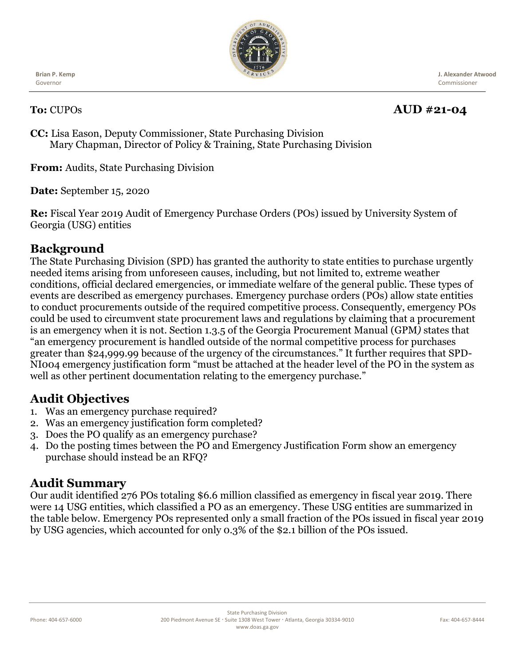

**Brian P. Kemp** Governor

 **J. Alexander Atwood** Commissioner

## **To:** CUPOs **AUD #21-04**

**CC:** Lisa Eason, Deputy Commissioner, State Purchasing Division Mary Chapman, Director of Policy & Training, State Purchasing Division

**From:** Audits, State Purchasing Division

**Date:** September 15, 2020

**Re:** Fiscal Year 2019 Audit of Emergency Purchase Orders (POs) issued by University System of Georgia (USG) entities

# **Background**

The State Purchasing Division (SPD) has granted the authority to state entities to purchase urgently needed items arising from unforeseen causes, including, but not limited to, extreme weather conditions, official declared emergencies, or immediate welfare of the general public. These types of events are described as emergency purchases. Emergency purchase orders (POs) allow state entities to conduct procurements outside of the required competitive process. Consequently, emergency POs could be used to circumvent state procurement laws and regulations by claiming that a procurement is an emergency when it is not. Section 1.3.5 of the Georgia Procurement Manual (GPM*)* states that "an emergency procurement is handled outside of the normal competitive process for purchases greater than \$24,999.99 because of the urgency of the circumstances." It further requires that SPD-NI004 emergency justification form "must be attached at the header level of the PO in the system as well as other pertinent documentation relating to the emergency purchase."

# **Audit Objectives**

- 1. Was an emergency purchase required?
- 2. Was an emergency justification form completed?
- 3. Does the PO qualify as an emergency purchase?
- 4. Do the posting times between the PO and Emergency Justification Form show an emergency purchase should instead be an RFQ?

### **Audit Summary**

Our audit identified 276 POs totaling \$6.6 million classified as emergency in fiscal year 2019. There were 14 USG entities, which classified a PO as an emergency. These USG entities are summarized in the table below. Emergency POs represented only a small fraction of the POs issued in fiscal year 2019 by USG agencies, which accounted for only 0.3% of the \$2.1 billion of the POs issued.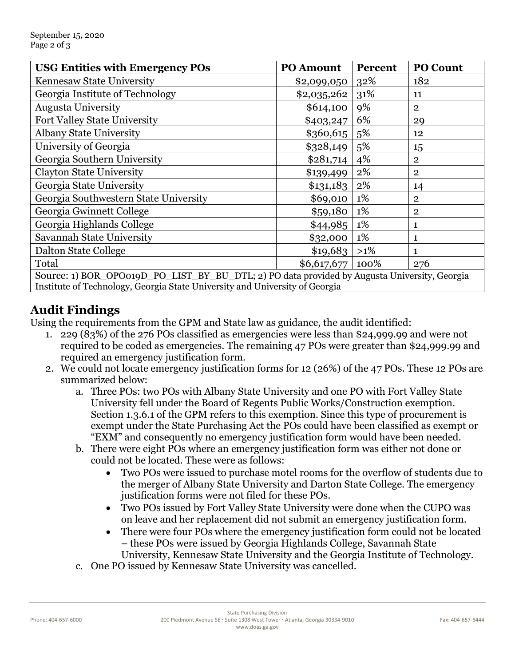| <b>USG Entities with Emergency POs</b>                                                       | <b>PO Amount</b> | Percent | <b>PO Count</b> |
|----------------------------------------------------------------------------------------------|------------------|---------|-----------------|
| Kennesaw State University                                                                    | \$2,099,050      | 32%     | 182             |
| Georgia Institute of Technology                                                              | \$2,035,262      | 31%     | 11              |
| <b>Augusta University</b>                                                                    | \$614,100        | 9%      | $\overline{2}$  |
| Fort Valley State University                                                                 | \$403,247        | 6%      | 29              |
| <b>Albany State University</b>                                                               | \$360,615        | 5%      | 12              |
| University of Georgia                                                                        | \$328,149        | 5%      | 15              |
| Georgia Southern University                                                                  | \$281,714        | 4%      | $\overline{2}$  |
| <b>Clayton State University</b>                                                              | \$139,499        | 2%      | $\overline{2}$  |
| Georgia State University                                                                     | \$131,183        | 2%      | 14              |
| Georgia Southwestern State University                                                        | \$69,010         | 1%      | $\overline{2}$  |
| Georgia Gwinnett College                                                                     | \$59,180         | 1%      | $\mathbf{2}$    |
| Georgia Highlands College                                                                    | \$44,985         | 1%      | 1               |
| Savannah State University                                                                    | \$32,000         | 1%      | 1               |
| Dalton State College                                                                         | \$19,683         | $>1\%$  | 1               |
| Total                                                                                        | \$6,617,677      | 100%    | 276             |
| Source: 1) BOR_OPO019D_PO_LIST_BY_BU_DTL; 2) PO data provided by Augusta University, Georgia |                  |         |                 |

**Audit Findings**

Using the requirements from the GPM and State law as guidance, the audit identified:

Institute of Technology, Georgia State University and University of Georgia

- 1. 229 (83%) of the 276 POs classified as emergencies were less than \$24,999.99 and were not required to be coded as emergencies. The remaining 47 POs were greater than \$24,999.99 and required an emergency justification form.
- 2. We could not locate emergency justification forms for 12 (26%) of the 47 POs. These 12 POs are summarized below:
	- a. Three POs: two POs with Albany State University and one PO with Fort Valley State University fell under the Board of Regents Public Works/Construction exemption. Section 1.3.6.1 of the GPM refers to this exemption. Since this type of procurement is exempt under the State Purchasing Act the POs could have been classified as exempt or "EXM" and consequently no emergency justification form would have been needed.
	- b. There were eight POs where an emergency justification form was either not done or could not be located. These were as follows:
		- Two POs were issued to purchase motel rooms for the overflow of students due to the merger of Albany State University and Darton State College. The emergency justification forms were not filed for these POs.
		- Two POs issued by Fort Valley State University were done when the CUPO was on leave and her replacement did not submit an emergency justification form.
		- There were four POs where the emergency justification form could not be located – these POs were issued by Georgia Highlands College, Savannah State University, Kennesaw State University and the Georgia Institute of Technology.
	- c. One PO issued by Kennesaw State University was cancelled.